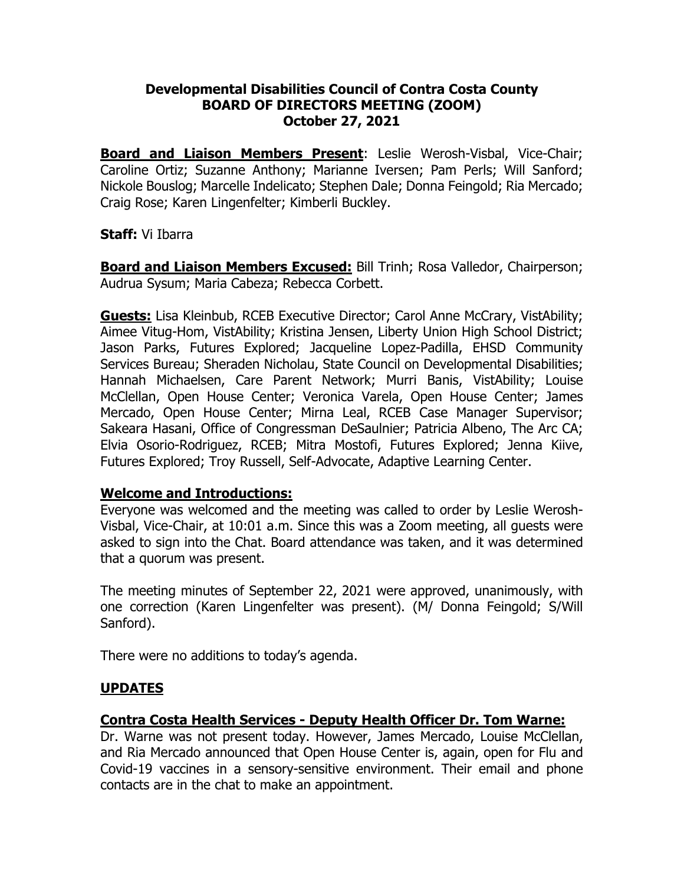### **Developmental Disabilities Council of Contra Costa County BOARD OF DIRECTORS MEETING (ZOOM) October 27, 2021**

**Board and Liaison Members Present**: Leslie Werosh-Visbal, Vice-Chair; Caroline Ortiz; Suzanne Anthony; Marianne Iversen; Pam Perls; Will Sanford; Nickole Bouslog; Marcelle Indelicato; Stephen Dale; Donna Feingold; Ria Mercado; Craig Rose; Karen Lingenfelter; Kimberli Buckley.

#### **Staff:** Vi Ibarra

**Board and Liaison Members Excused:** Bill Trinh; Rosa Valledor, Chairperson; Audrua Sysum; Maria Cabeza; Rebecca Corbett.

**Guests:** Lisa Kleinbub, RCEB Executive Director; Carol Anne McCrary, VistAbility; Aimee Vitug-Hom, VistAbility; Kristina Jensen, Liberty Union High School District; Jason Parks, Futures Explored; Jacqueline Lopez-Padilla, EHSD Community Services Bureau; Sheraden Nicholau, State Council on Developmental Disabilities; Hannah Michaelsen, Care Parent Network; Murri Banis, VistAbility; Louise McClellan, Open House Center; Veronica Varela, Open House Center; James Mercado, Open House Center; Mirna Leal, RCEB Case Manager Supervisor; Sakeara Hasani, Office of Congressman DeSaulnier; Patricia Albeno, The Arc CA; Elvia Osorio-Rodriguez, RCEB; Mitra Mostofi, Futures Explored; Jenna Kiive, Futures Explored; Troy Russell, Self-Advocate, Adaptive Learning Center.

#### **Welcome and Introductions:**

Everyone was welcomed and the meeting was called to order by Leslie Werosh-Visbal, Vice-Chair, at 10:01 a.m. Since this was a Zoom meeting, all guests were asked to sign into the Chat. Board attendance was taken, and it was determined that a quorum was present.

The meeting minutes of September 22, 2021 were approved, unanimously, with one correction (Karen Lingenfelter was present). (M/ Donna Feingold; S/Will Sanford).

There were no additions to today's agenda.

### **UPDATES**

### **Contra Costa Health Services - Deputy Health Officer Dr. Tom Warne:**

Dr. Warne was not present today. However, James Mercado, Louise McClellan, and Ria Mercado announced that Open House Center is, again, open for Flu and Covid-19 vaccines in a sensory-sensitive environment. Their email and phone contacts are in the chat to make an appointment.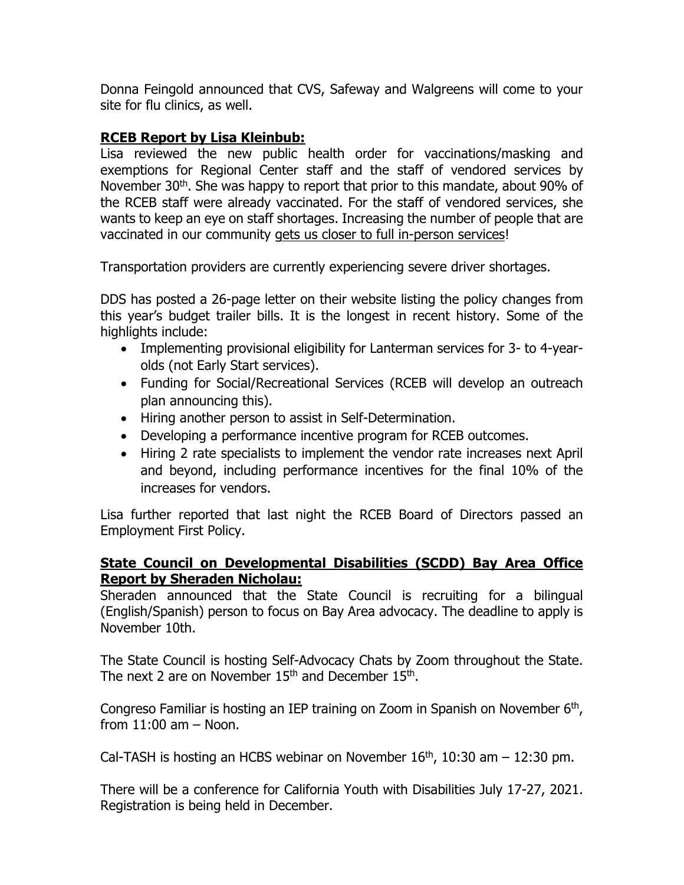Donna Feingold announced that CVS, Safeway and Walgreens will come to your site for flu clinics, as well.

## **RCEB Report by Lisa Kleinbub:**

Lisa reviewed the new public health order for vaccinations/masking and exemptions for Regional Center staff and the staff of vendored services by November 30<sup>th</sup>. She was happy to report that prior to this mandate, about 90% of the RCEB staff were already vaccinated. For the staff of vendored services, she wants to keep an eye on staff shortages. Increasing the number of people that are vaccinated in our community gets us closer to full in-person services!

Transportation providers are currently experiencing severe driver shortages.

DDS has posted a 26-page letter on their website listing the policy changes from this year's budget trailer bills. It is the longest in recent history. Some of the highlights include:

- Implementing provisional eligibility for Lanterman services for 3- to 4-yearolds (not Early Start services).
- Funding for Social/Recreational Services (RCEB will develop an outreach plan announcing this).
- Hiring another person to assist in Self-Determination.
- Developing a performance incentive program for RCEB outcomes.
- Hiring 2 rate specialists to implement the vendor rate increases next April and beyond, including performance incentives for the final 10% of the increases for vendors.

Lisa further reported that last night the RCEB Board of Directors passed an Employment First Policy.

### **State Council on Developmental Disabilities (SCDD) Bay Area Office Report by Sheraden Nicholau:**

Sheraden announced that the State Council is recruiting for a bilingual (English/Spanish) person to focus on Bay Area advocacy. The deadline to apply is November 10th.

The State Council is hosting Self-Advocacy Chats by Zoom throughout the State. The next 2 are on November  $15<sup>th</sup>$  and December  $15<sup>th</sup>$ .

Congreso Familiar is hosting an IEP training on Zoom in Spanish on November  $6<sup>th</sup>$ , from  $11:00$  am  $-$  Noon.

Cal-TASH is hosting an HCBS webinar on November  $16<sup>th</sup>$ , 10:30 am  $-$  12:30 pm.

There will be a conference for California Youth with Disabilities July 17-27, 2021. Registration is being held in December.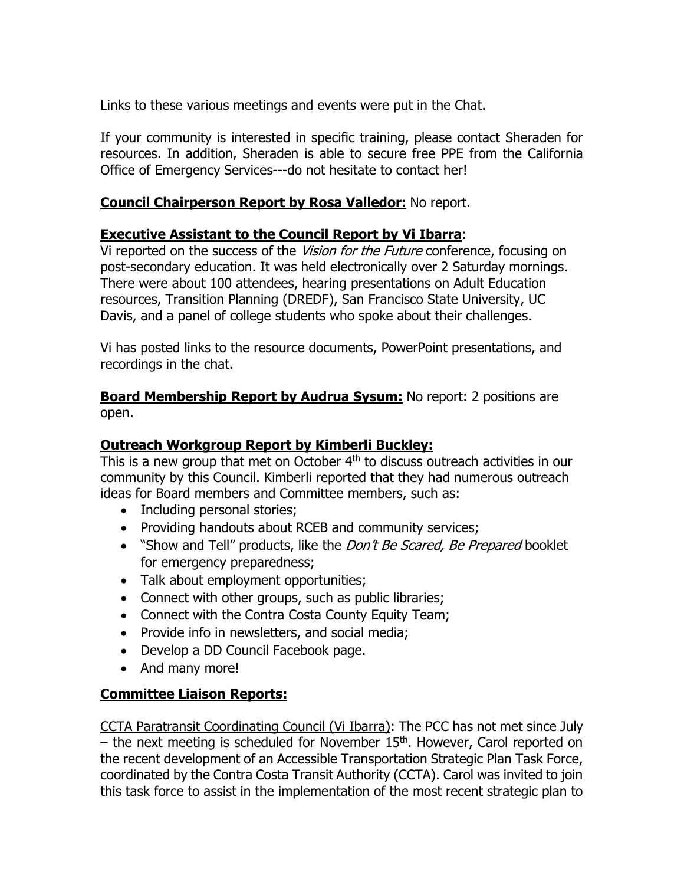Links to these various meetings and events were put in the Chat.

If your community is interested in specific training, please contact Sheraden for resources. In addition, Sheraden is able to secure free PPE from the California Office of Emergency Services---do not hesitate to contact her!

# **Council Chairperson Report by Rosa Valledor:** No report.

## **Executive Assistant to the Council Report by Vi Ibarra**:

Vi reported on the success of the Vision for the Future conference, focusing on post-secondary education. It was held electronically over 2 Saturday mornings. There were about 100 attendees, hearing presentations on Adult Education resources, Transition Planning (DREDF), San Francisco State University, UC Davis, and a panel of college students who spoke about their challenges.

Vi has posted links to the resource documents, PowerPoint presentations, and recordings in the chat.

**Board Membership Report by Audrua Sysum:** No report: 2 positions are open.

## **Outreach Workgroup Report by Kimberli Buckley:**

This is a new group that met on October 4<sup>th</sup> to discuss outreach activities in our community by this Council. Kimberli reported that they had numerous outreach ideas for Board members and Committee members, such as:

- Including personal stories;
- Providing handouts about RCEB and community services;
- "Show and Tell" products, like the *Don't Be Scared, Be Prepared* booklet for emergency preparedness;
- Talk about employment opportunities;
- Connect with other groups, such as public libraries;
- Connect with the Contra Costa County Equity Team;
- Provide info in newsletters, and social media;
- Develop a DD Council Facebook page.
- And many more!

## **Committee Liaison Reports:**

CCTA Paratransit Coordinating Council (Vi Ibarra): The PCC has not met since July – the next meeting is scheduled for November 15<sup>th</sup>. However, Carol reported on the recent development of an Accessible Transportation Strategic Plan Task Force, coordinated by the Contra Costa Transit Authority (CCTA). Carol was invited to join this task force to assist in the implementation of the most recent strategic plan to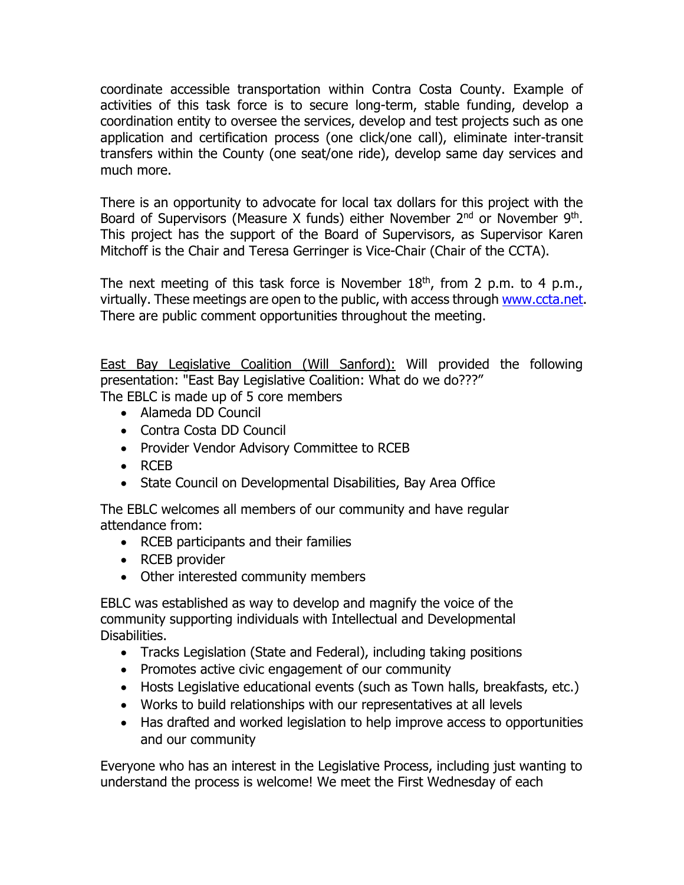coordinate accessible transportation within Contra Costa County. Example of activities of this task force is to secure long-term, stable funding, develop a coordination entity to oversee the services, develop and test projects such as one application and certification process (one click/one call), eliminate inter-transit transfers within the County (one seat/one ride), develop same day services and much more.

There is an opportunity to advocate for local tax dollars for this project with the Board of Supervisors (Measure X funds) either November  $2<sup>nd</sup>$  or November  $9<sup>th</sup>$ . This project has the support of the Board of Supervisors, as Supervisor Karen Mitchoff is the Chair and Teresa Gerringer is Vice-Chair (Chair of the CCTA).

The next meeting of this task force is November  $18<sup>th</sup>$ , from 2 p.m. to 4 p.m., virtually. These meetings are open to the public, with access through [www.ccta.net.](http://www.ccta.net/) There are public comment opportunities throughout the meeting.

East Bay Legislative Coalition (Will Sanford): Will provided the following presentation: "East Bay Legislative Coalition: What do we do???" The EBLC is made up of 5 core members

- Alameda DD Council
- Contra Costa DD Council
- Provider Vendor Advisory Committee to RCEB
- RCEB
- State Council on Developmental Disabilities, Bay Area Office

The EBLC welcomes all members of our community and have regular attendance from:

- RCEB participants and their families
- RCEB provider
- Other interested community members

EBLC was established as way to develop and magnify the voice of the community supporting individuals with Intellectual and Developmental Disabilities.

- Tracks Legislation (State and Federal), including taking positions
- Promotes active civic engagement of our community
- Hosts Legislative educational events (such as Town halls, breakfasts, etc.)
- Works to build relationships with our representatives at all levels
- Has drafted and worked legislation to help improve access to opportunities and our community

Everyone who has an interest in the Legislative Process, including just wanting to understand the process is welcome! We meet the First Wednesday of each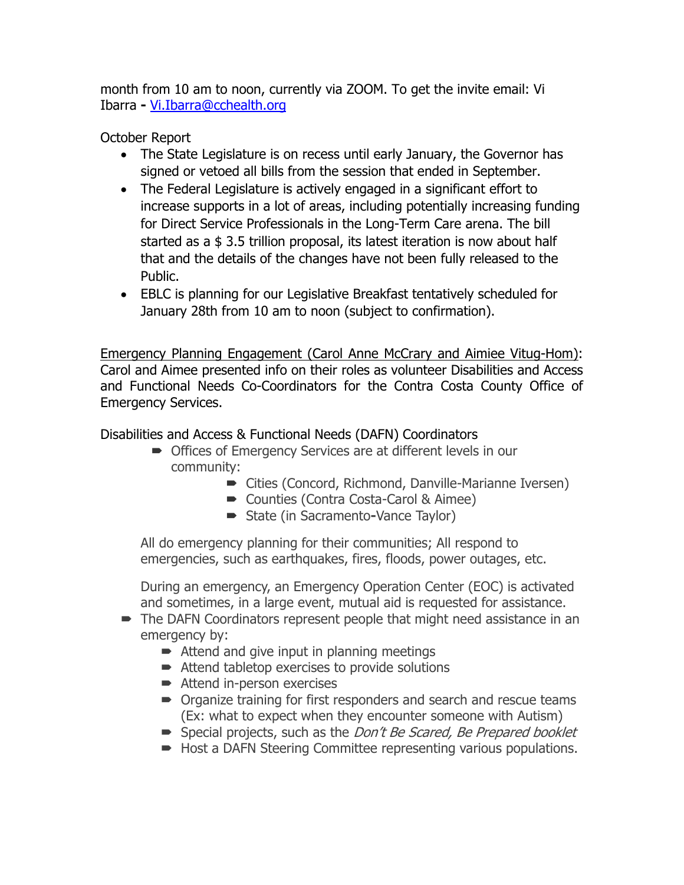month from 10 am to noon, currently via ZOOM. To get the invite email: Vi Ibarra **-** [Vi.Ibarra@cchealth.org](mailto:Vi.Ibarra@cchealth.org)

October Report

- The State Legislature is on recess until early January, the Governor has signed or vetoed all bills from the session that ended in September.
- The Federal Legislature is actively engaged in a significant effort to increase supports in a lot of areas, including potentially increasing funding for Direct Service Professionals in the Long-Term Care arena. The bill started as a \$ 3.5 trillion proposal, its latest iteration is now about half that and the details of the changes have not been fully released to the Public.
- EBLC is planning for our Legislative Breakfast tentatively scheduled for January 28th from 10 am to noon (subject to confirmation).

Emergency Planning Engagement (Carol Anne McCrary and Aimiee Vitug-Hom): Carol and Aimee presented info on their roles as volunteer Disabilities and Access and Functional Needs Co-Coordinators for the Contra Costa County Office of Emergency Services.

Disabilities and Access & Functional Needs (DAFN) Coordinators

- Offices of Emergency Services are at different levels in our community:
	- Cities (Concord, Richmond, Danville-Marianne Iversen)
	- Counties (Contra Costa-Carol & Aimee)
	- State (in Sacramento**-**Vance Taylor)

All do emergency planning for their communities; All respond to emergencies, such as earthquakes, fires, floods, power outages, etc.

During an emergency, an Emergency Operation Center (EOC) is activated and sometimes, in a large event, mutual aid is requested for assistance.

- The DAFN Coordinators represent people that might need assistance in an emergency by:
	- $\blacktriangleright$  Attend and give input in planning meetings
	- Attend tabletop exercises to provide solutions
	- **■** Attend in-person exercises
	- **•** Organize training for first responders and search and rescue teams (Ex: what to expect when they encounter someone with Autism)
	- Special projects, such as the *Don't Be Scared, Be Prepared booklet*
	- Host a DAFN Steering Committee representing various populations.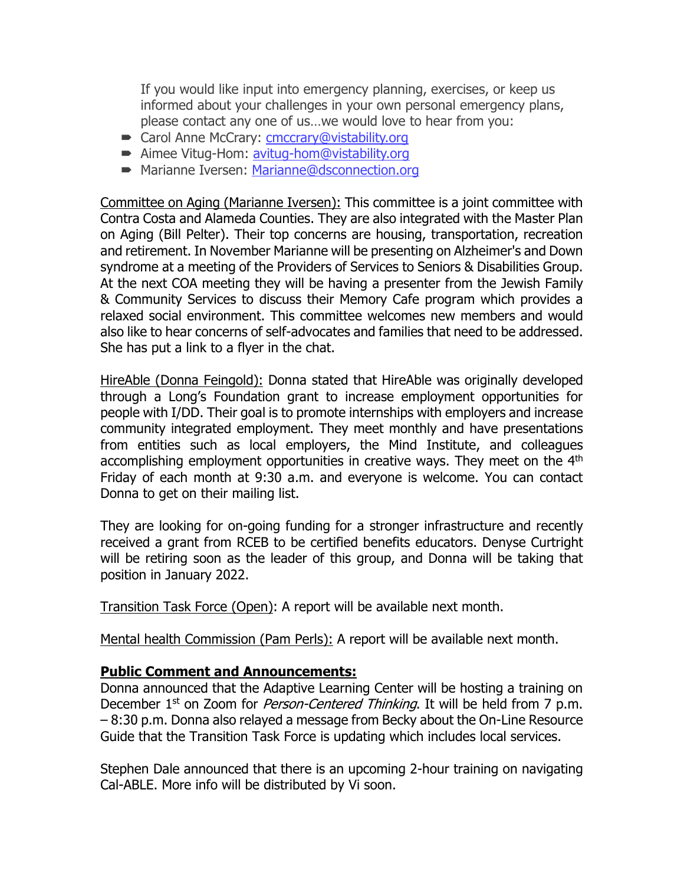If you would like input into emergency planning, exercises, or keep us informed about your challenges in your own personal emergency plans, please contact any one of us…we would love to hear from you:

- Carol Anne McCrary: [cmccrary@vistability.org](mailto:cmccrary@vistability.org)
- Aimee Vitug-Hom: [avitug-hom@vistability.org](mailto:avitug-hom@vistability.org)
- **Marianne Iversen: [Marianne@dsconnection.org](mailto:Marianne@dsconnection.org)**

Committee on Aging (Marianne Iversen): This committee is a joint committee with Contra Costa and Alameda Counties. They are also integrated with the Master Plan on Aging (Bill Pelter). Their top concerns are housing, transportation, recreation and retirement. In November Marianne will be presenting on Alzheimer's and Down syndrome at a meeting of the Providers of Services to Seniors & Disabilities Group. At the next COA meeting they will be having a presenter from the Jewish Family & Community Services to discuss their Memory Cafe program which provides a relaxed social environment. This committee welcomes new members and would also like to hear concerns of self-advocates and families that need to be addressed. She has put a link to a flyer in the chat.

HireAble (Donna Feingold): Donna stated that HireAble was originally developed through a Long's Foundation grant to increase employment opportunities for people with I/DD. Their goal is to promote internships with employers and increase community integrated employment. They meet monthly and have presentations from entities such as local employers, the Mind Institute, and colleagues accomplishing employment opportunities in creative ways. They meet on the 4<sup>th</sup> Friday of each month at 9:30 a.m. and everyone is welcome. You can contact Donna to get on their mailing list.

They are looking for on-going funding for a stronger infrastructure and recently received a grant from RCEB to be certified benefits educators. Denyse Curtright will be retiring soon as the leader of this group, and Donna will be taking that position in January 2022.

Transition Task Force (Open): A report will be available next month.

Mental health Commission (Pam Perls): A report will be available next month.

### **Public Comment and Announcements:**

Donna announced that the Adaptive Learning Center will be hosting a training on December 1<sup>st</sup> on Zoom for *Person-Centered Thinking*. It will be held from 7 p.m. – 8:30 p.m. Donna also relayed a message from Becky about the On-Line Resource Guide that the Transition Task Force is updating which includes local services.

Stephen Dale announced that there is an upcoming 2-hour training on navigating Cal-ABLE. More info will be distributed by Vi soon.